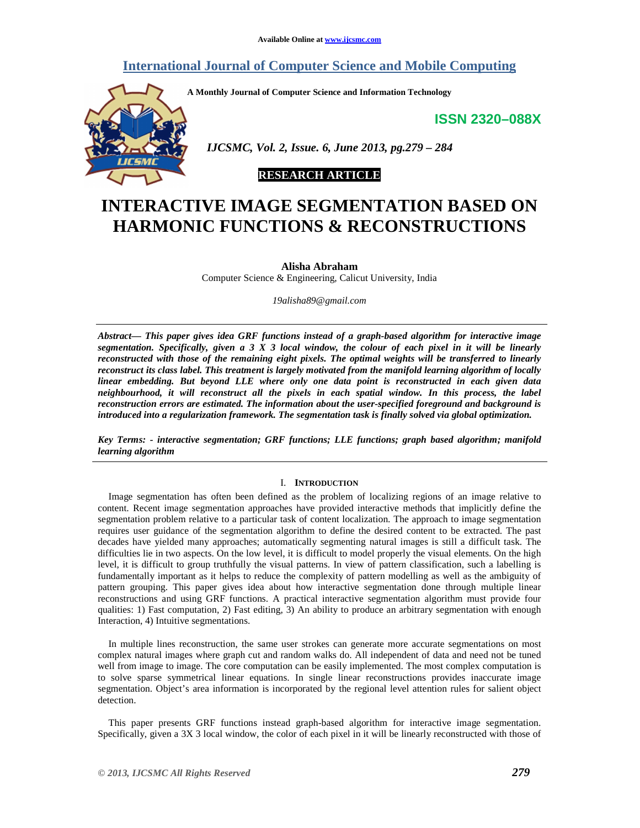# **International Journal of Computer Science and Mobile Computing**

**A Monthly Journal of Computer Science and Information Technology** 

**ISSN 2320–088X**



 *IJCSMC, Vol. 2, Issue. 6, June 2013, pg.279 – 284* 

# **RESEARCH ARTICLE**

# **INTERACTIVE IMAGE SEGMENTATION BASED ON HARMONIC FUNCTIONS & RECONSTRUCTIONS**

**Alisha Abraham**  Computer Science & Engineering, Calicut University, India

*19alisha89@gmail.com* 

*Abstract— This paper gives idea GRF functions instead of a graph-based algorithm for interactive image segmentation. Specifically, given a 3 X 3 local window, the colour of each pixel in it will be linearly reconstructed with those of the remaining eight pixels. The optimal weights will be transferred to linearly reconstruct its class label. This treatment is largely motivated from the manifold learning algorithm of locally linear embedding. But beyond LLE where only one data point is reconstructed in each given data neighbourhood, it will reconstruct all the pixels in each spatial window. In this process, the label reconstruction errors are estimated. The information about the user-specified foreground and background is introduced into a regularization framework. The segmentation task is finally solved via global optimization.* 

*Key Terms: - interactive segmentation; GRF functions; LLE functions; graph based algorithm; manifold learning algorithm* 

# I. **INTRODUCTION**

Image segmentation has often been defined as the problem of localizing regions of an image relative to content. Recent image segmentation approaches have provided interactive methods that implicitly define the segmentation problem relative to a particular task of content localization. The approach to image segmentation requires user guidance of the segmentation algorithm to define the desired content to be extracted. The past decades have yielded many approaches; automatically segmenting natural images is still a difficult task. The difficulties lie in two aspects. On the low level, it is difficult to model properly the visual elements. On the high level, it is difficult to group truthfully the visual patterns. In view of pattern classification, such a labelling is fundamentally important as it helps to reduce the complexity of pattern modelling as well as the ambiguity of pattern grouping. This paper gives idea about how interactive segmentation done through multiple linear reconstructions and using GRF functions. A practical interactive segmentation algorithm must provide four qualities: 1) Fast computation, 2) Fast editing, 3) An ability to produce an arbitrary segmentation with enough Interaction, 4) Intuitive segmentations.

In multiple lines reconstruction, the same user strokes can generate more accurate segmentations on most complex natural images where graph cut and random walks do. All independent of data and need not be tuned well from image to image. The core computation can be easily implemented. The most complex computation is to solve sparse symmetrical linear equations. In single linear reconstructions provides inaccurate image segmentation. Object's area information is incorporated by the regional level attention rules for salient object detection.

This paper presents GRF functions instead graph-based algorithm for interactive image segmentation. Specifically, given a 3X 3 local window, the color of each pixel in it will be linearly reconstructed with those of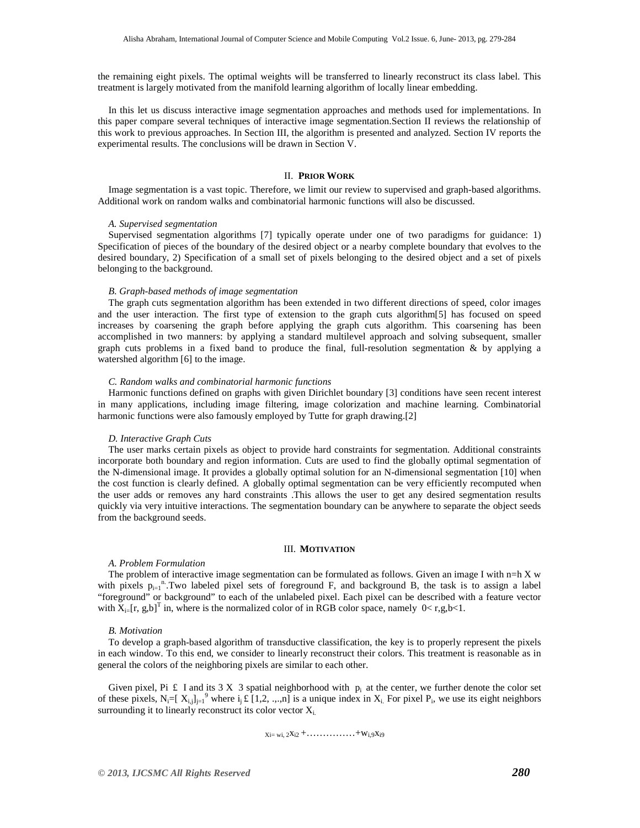the remaining eight pixels. The optimal weights will be transferred to linearly reconstruct its class label. This treatment is largely motivated from the manifold learning algorithm of locally linear embedding.

In this let us discuss interactive image segmentation approaches and methods used for implementations. In this paper compare several techniques of interactive image segmentation.Section II reviews the relationship of this work to previous approaches. In Section III, the algorithm is presented and analyzed. Section IV reports the experimental results. The conclusions will be drawn in Section V.

# II. **PRIOR WORK**

Image segmentation is a vast topic. Therefore, we limit our review to supervised and graph-based algorithms. Additional work on random walks and combinatorial harmonic functions will also be discussed.

# *A. Supervised segmentation*

Supervised segmentation algorithms [7] typically operate under one of two paradigms for guidance: 1) Specification of pieces of the boundary of the desired object or a nearby complete boundary that evolves to the desired boundary, 2) Specification of a small set of pixels belonging to the desired object and a set of pixels belonging to the background.

## *B. Graph-based methods of image segmentation*

The graph cuts segmentation algorithm has been extended in two different directions of speed, color images and the user interaction. The first type of extension to the graph cuts algorithm[5] has focused on speed increases by coarsening the graph before applying the graph cuts algorithm. This coarsening has been accomplished in two manners: by applying a standard multilevel approach and solving subsequent, smaller graph cuts problems in a fixed band to produce the final, full-resolution segmentation  $\&$  by applying a watershed algorithm [6] to the image.

# *C. Random walks and combinatorial harmonic functions*

Harmonic functions defined on graphs with given Dirichlet boundary [3] conditions have seen recent interest in many applications, including image filtering, image colorization and machine learning. Combinatorial harmonic functions were also famously employed by Tutte for graph drawing.[2]

#### *D. Interactive Graph Cuts*

The user marks certain pixels as object to provide hard constraints for segmentation. Additional constraints incorporate both boundary and region information. Cuts are used to find the globally optimal segmentation of the N-dimensional image. It provides a globally optimal solution for an N-dimensional segmentation [10] when the cost function is clearly defined. A globally optimal segmentation can be very efficiently recomputed when the user adds or removes any hard constraints .This allows the user to get any desired segmentation results quickly via very intuitive interactions. The segmentation boundary can be anywhere to separate the object seeds from the background seeds.

# III. **MOTIVATION**

#### *A. Problem Formulation*

The problem of interactive image segmentation can be formulated as follows. Given an image I with  $n=h X w$ with pixels  $p_{i=1}^{n}$ . Two labeled pixel sets of foreground F, and background B, the task is to assign a label "foreground" or background" to each of the unlabeled pixel. Each pixel can be described with a feature vector with  $X_{i}$ [r, g,b]<sup>T</sup> in, where is the normalized color of in RGB color space, namely  $0 < r, g, b < 1$ .

#### *B. Motivation*

To develop a graph-based algorithm of transductive classification, the key is to properly represent the pixels in each window. To this end, we consider to linearly reconstruct their colors. This treatment is reasonable as in general the colors of the neighboring pixels are similar to each other.

Given pixel, Pi  $\pm$  I and its 3 X 3 spatial neighborhood with  $p_i$  at the center, we further denote the color set of these pixels,  $N_i = [X_{i,j}]_{j=1}^9$  where  $i_j \text{E}[1,2, ..., n]$  is a unique index in  $X_i$ . For pixel  $P_i$ , we use its eight neighbors surrounding it to linearly reconstruct its color vector  $X_i$ .

 $X_i = w_i, 2X_i2 + \ldots + w_i9X_i9$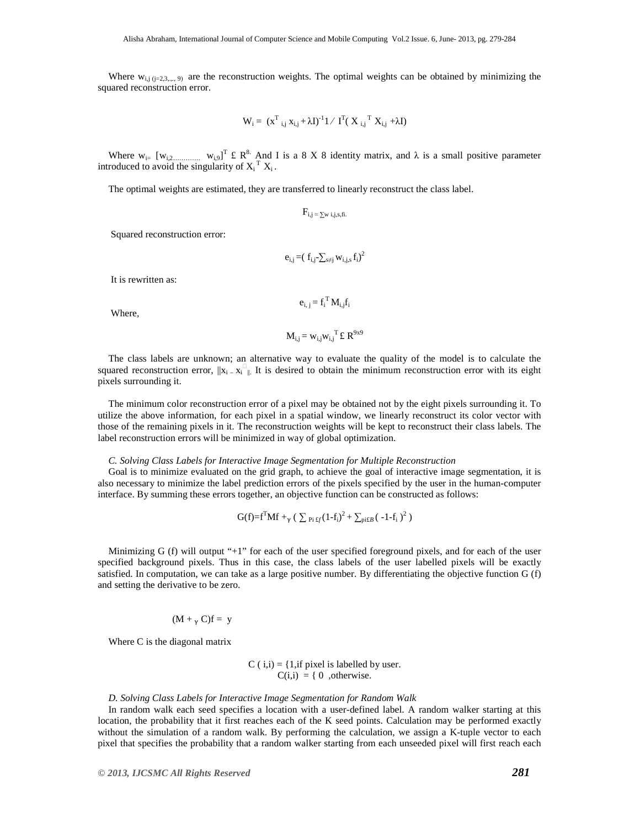Where  $w_{i,j}$  ( $j=2,3,...,9$ ) are the reconstruction weights. The optimal weights can be obtained by minimizing the squared reconstruction error.

$$
W_i = (x^T_{i,j} x_{i,j} + \lambda I)^{-1} \mathbf{1} / I^T (X_{i,j}^T X_{i,j} + \lambda I)
$$

Where  $w_{i}$  [ $w_{i,2}$   $w_{i,2}$ ]<sup>T</sup> £ R<sup>8</sup>. And I is a 8 X 8 identity matrix, and  $\lambda$  is a small positive parameter introduced to avoid the singularity of  $X_i^T X_i$ .

The optimal weights are estimated, they are transferred to linearly reconstruct the class label.

 $F_{i,j} \approx \sum_{w}$  i, j, s, fi.

Squared reconstruction error:

$$
e_{i,j} = (f_{i,j} - \sum_{s \neq j} w_{i,j,s} f_i)^2
$$

It is rewritten as:

$$
e_{i, j} = f_i^{\mathrm{T}} M_{i, j} f_i
$$

Where,

$$
\mathbf{M}_{i,j} = w_{i,j} w_{i,j}^{\mathrm{T}} \mathbf{\pounds} \mathbf{R}^{9x9}
$$

The class labels are unknown; an alternative way to evaluate the quality of the model is to calculate the squared reconstruction error,  $||x_i - x_i||$ . It is desired to obtain the minimum reconstruction error with its eight pixels surrounding it.

The minimum color reconstruction error of a pixel may be obtained not by the eight pixels surrounding it. To utilize the above information, for each pixel in a spatial window, we linearly reconstruct its color vector with those of the remaining pixels in it. The reconstruction weights will be kept to reconstruct their class labels. The label reconstruction errors will be minimized in way of global optimization.

#### *C. Solving Class Labels for Interactive Image Segmentation for Multiple Reconstruction*

Goal is to minimize evaluated on the grid graph, to achieve the goal of interactive image segmentation, it is also necessary to minimize the label prediction errors of the pixels specified by the user in the human-computer interface. By summing these errors together, an objective function can be constructed as follows:

$$
G(f)=f^TMf+_{\gamma}(\sum_{Pi: f_f}(1-f_i)^2+\sum_{piE}(-1-f_i)^2)
$$

Minimizing G (f) will output "+1" for each of the user specified foreground pixels, and for each of the user specified background pixels. Thus in this case, the class labels of the user labelled pixels will be exactly satisfied. In computation, we can take as a large positive number. By differentiating the objective function G (f) and setting the derivative to be zero.

$$
(M +_{\gamma} C)f = y
$$

Where C is the diagonal matrix

C ( $i$ , $i$ ) = {1,if pixel is labelled by user.  $C(i,i) = \{ 0, otherwise.$ 

## *D. Solving Class Labels for Interactive Image Segmentation for Random Walk*

In random walk each seed specifies a location with a user-defined label. A random walker starting at this location, the probability that it first reaches each of the K seed points. Calculation may be performed exactly without the simulation of a random walk. By performing the calculation, we assign a K-tuple vector to each pixel that specifies the probability that a random walker starting from each unseeded pixel will first reach each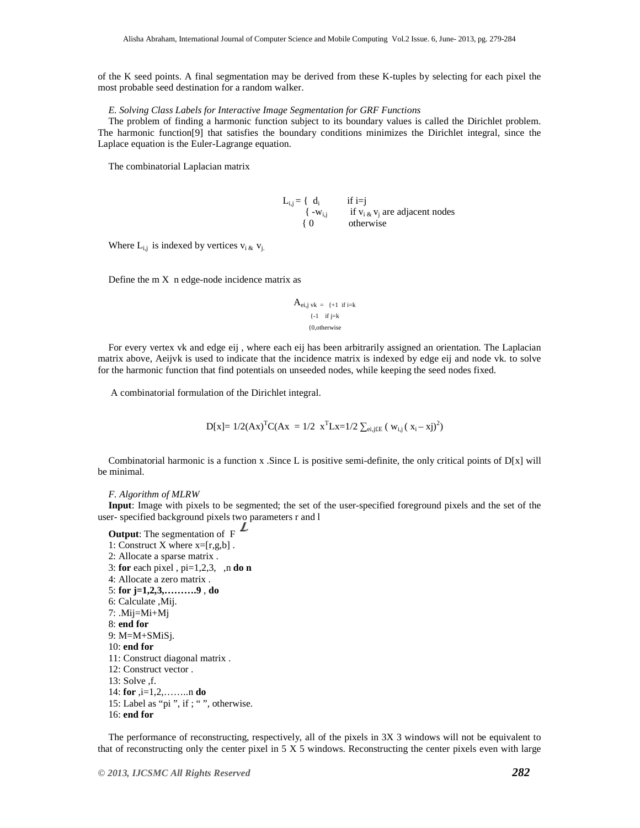of the K seed points. A final segmentation may be derived from these K-tuples by selecting for each pixel the most probable seed destination for a random walker.

# *E. Solving Class Labels for Interactive Image Segmentation for GRF Functions*

The problem of finding a harmonic function subject to its boundary values is called the Dirichlet problem. The harmonic function[9] that satisfies the boundary conditions minimizes the Dirichlet integral, since the Laplace equation is the Euler-Lagrange equation.

The combinatorial Laplacian matrix

 $L_{i,j} = \begin{cases} d_i & \text{if } i=j \end{cases}$  $\begin{cases} -w_{i,j} & \text{if } v_{i, \&} v_j \end{cases}$ if  $v_{i,k}$  v<sub>i</sub> are adjacent nodes { 0 otherwise

Where  $L_{i,j}$  is indexed by vertices  $v_i$   $\& v_j$ .

Define the  $m X$  n edge-node incidence matrix as

$$
A_{ei,j \, vk} = \{+1 \text{ if } i=k
$$

$$
\{-1 \text{ if } j=k
$$

$$
\{0, \text{otherwise}
$$

For every vertex vk and edge eij , where each eij has been arbitrarily assigned an orientation. The Laplacian matrix above, Aeijvk is used to indicate that the incidence matrix is indexed by edge eij and node vk. to solve for the harmonic function that find potentials on unseeded nodes, while keeping the seed nodes fixed.

A combinatorial formulation of the Dirichlet integral.

$$
D[x] = 1/2 (Ax)^{T} C(Ax) = 1/2 x^{T} Lx = 1/2 \sum_{e i,j \in E} (w_{i,j} (x_i - x_j)^{2})
$$

Combinatorial harmonic is a function x. Since L is positive semi-definite, the only critical points of  $D[x]$  will be minimal.

*F. Algorithm of MLRW* 

**Input**: Image with pixels to be segmented; the set of the user-specified foreground pixels and the set of the user- specified background pixels two parameters r and l

**Output:** The segmentation of  $F$   $\angle$ 1: Construct X where  $x=[r,g,b]$ . 2: Allocate a sparse matrix . 3: **for** each pixel , pi=1,2,3, ,n **do n**  4: Allocate a zero matrix . 5: **for j=1,2,3,……….9** , **do**  6: Calculate ,Mij. 7: .Mij=Mi+Mj 8: **end for**  9: M=M+SMiSj. 10: **end for**  11: Construct diagonal matrix . 12: Construct vector . 13: Solve ,f. 14: **for** ,i=1,2,……..n **do**  15: Label as "pi ", if ; " ", otherwise. 16: **end for** 

The performance of reconstructing, respectively, all of the pixels in 3X 3 windows will not be equivalent to that of reconstructing only the center pixel in  $5 \times 5$  windows. Reconstructing the center pixels even with large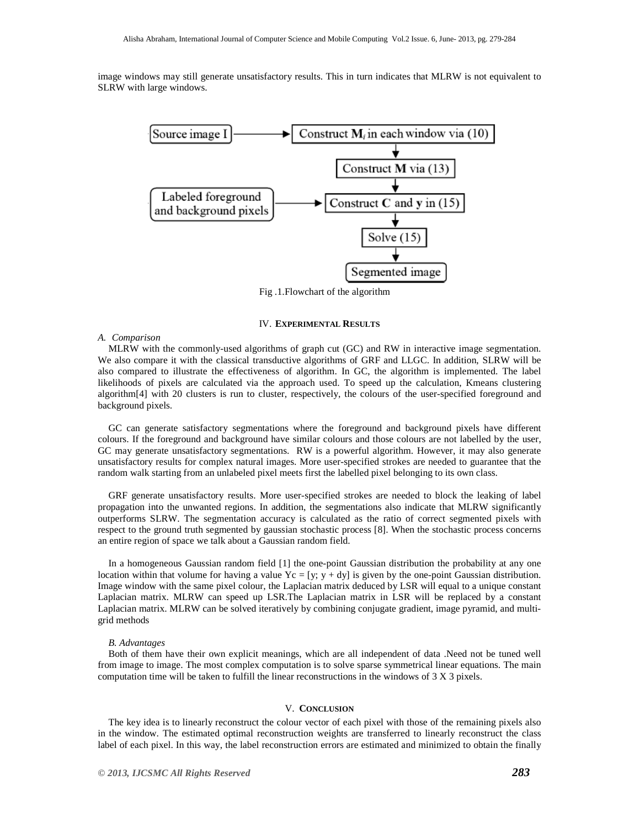image windows may still generate unsatisfactory results. This in turn indicates that MLRW is not equivalent to SLRW with large windows.



Fig .1.Flowchart of the algorithm

# IV. **EXPERIMENTAL RESULTS**

# *A. Comparison*

MLRW with the commonly-used algorithms of graph cut (GC) and RW in interactive image segmentation. We also compare it with the classical transductive algorithms of GRF and LLGC. In addition, SLRW will be also compared to illustrate the effectiveness of algorithm. In GC, the algorithm is implemented. The label likelihoods of pixels are calculated via the approach used. To speed up the calculation, Kmeans clustering algorithm[4] with 20 clusters is run to cluster, respectively, the colours of the user-specified foreground and background pixels.

GC can generate satisfactory segmentations where the foreground and background pixels have different colours. If the foreground and background have similar colours and those colours are not labelled by the user, GC may generate unsatisfactory segmentations. RW is a powerful algorithm. However, it may also generate unsatisfactory results for complex natural images. More user-specified strokes are needed to guarantee that the random walk starting from an unlabeled pixel meets first the labelled pixel belonging to its own class.

GRF generate unsatisfactory results. More user-specified strokes are needed to block the leaking of label propagation into the unwanted regions. In addition, the segmentations also indicate that MLRW significantly outperforms SLRW. The segmentation accuracy is calculated as the ratio of correct segmented pixels with respect to the ground truth segmented by gaussian stochastic process [8]. When the stochastic process concerns an entire region of space we talk about a Gaussian random field.

In a homogeneous Gaussian random field [1] the one-point Gaussian distribution the probability at any one location within that volume for having a value  $Yc = [y; y + dy]$  is given by the one-point Gaussian distribution. Image window with the same pixel colour, the Laplacian matrix deduced by LSR will equal to a unique constant Laplacian matrix. MLRW can speed up LSR.The Laplacian matrix in LSR will be replaced by a constant Laplacian matrix. MLRW can be solved iteratively by combining conjugate gradient, image pyramid, and multigrid methods

# *B. Advantages*

Both of them have their own explicit meanings, which are all independent of data .Need not be tuned well from image to image. The most complex computation is to solve sparse symmetrical linear equations. The main computation time will be taken to fulfill the linear reconstructions in the windows of 3 X 3 pixels.

#### V. **CONCLUSION**

The key idea is to linearly reconstruct the colour vector of each pixel with those of the remaining pixels also in the window. The estimated optimal reconstruction weights are transferred to linearly reconstruct the class label of each pixel. In this way, the label reconstruction errors are estimated and minimized to obtain the finally